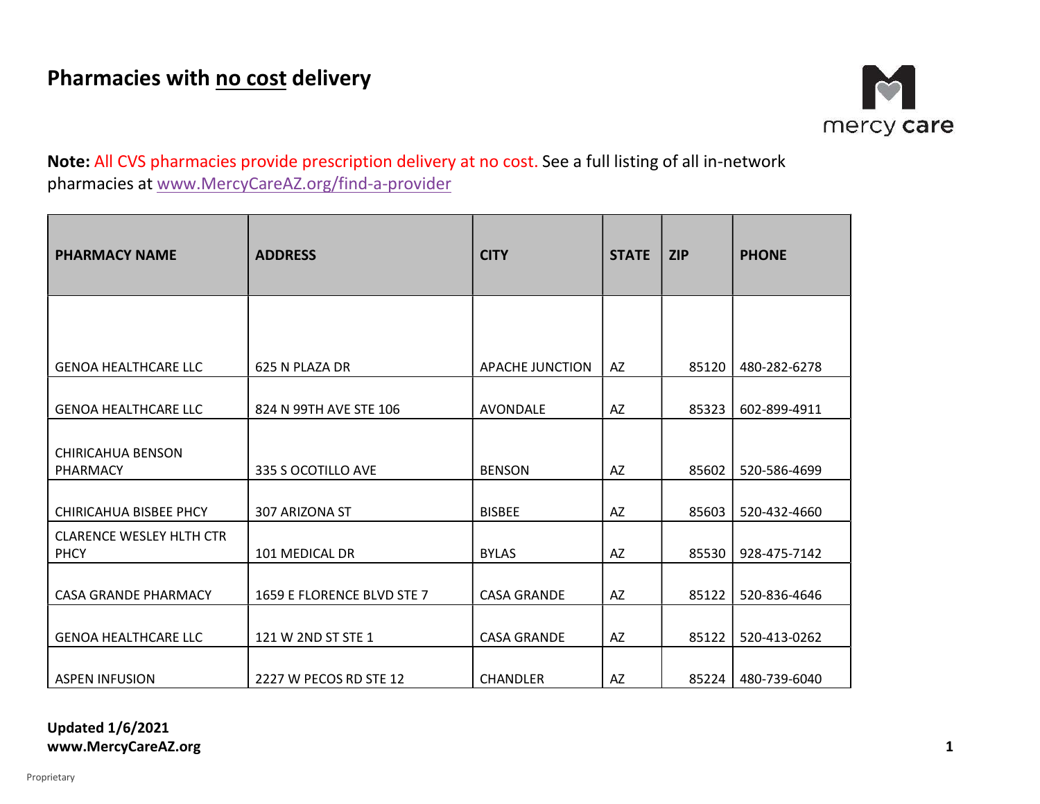

Note: All CVS pharmacies provide prescription delivery at no cost. See a full listing of all in-network pharmacies at www.MercyCareAZ.org/find-a-provider

| <b>PHARMACY NAME</b>                           | <b>ADDRESS</b>             | <b>CITY</b>        | <b>STATE</b> | <b>ZIP</b> | <b>PHONE</b> |
|------------------------------------------------|----------------------------|--------------------|--------------|------------|--------------|
|                                                |                            |                    |              |            |              |
| <b>GENOA HEALTHCARE LLC</b>                    | 625 N PLAZA DR             | APACHE JUNCTION    | AZ           | 85120      | 480-282-6278 |
| <b>GENOA HEALTHCARE LLC</b>                    | 824 N 99TH AVE STE 106     | AVONDALE           | AZ           | 85323      | 602-899-4911 |
| <b>CHIRICAHUA BENSON</b><br>PHARMACY           | 335 S OCOTILLO AVE         | <b>BENSON</b>      | AZ           | 85602      | 520-586-4699 |
| CHIRICAHUA BISBEE PHCY                         | 307 ARIZONA ST             | <b>BISBEE</b>      | AZ           | 85603      | 520-432-4660 |
| <b>CLARENCE WESLEY HLTH CTR</b><br><b>PHCY</b> | 101 MEDICAL DR             | <b>BYLAS</b>       | AZ           | 85530      | 928-475-7142 |
| <b>CASA GRANDE PHARMACY</b>                    | 1659 E FLORENCE BLVD STE 7 | <b>CASA GRANDE</b> | AZ           | 85122      | 520-836-4646 |
| <b>GENOA HEALTHCARE LLC</b>                    | 121 W 2ND ST STE 1         | <b>CASA GRANDE</b> | AZ           | 85122      | 520-413-0262 |
| <b>ASPEN INFUSION</b>                          | 2227 W PECOS RD STE 12     | <b>CHANDLER</b>    | AZ           | 85224      | 480-739-6040 |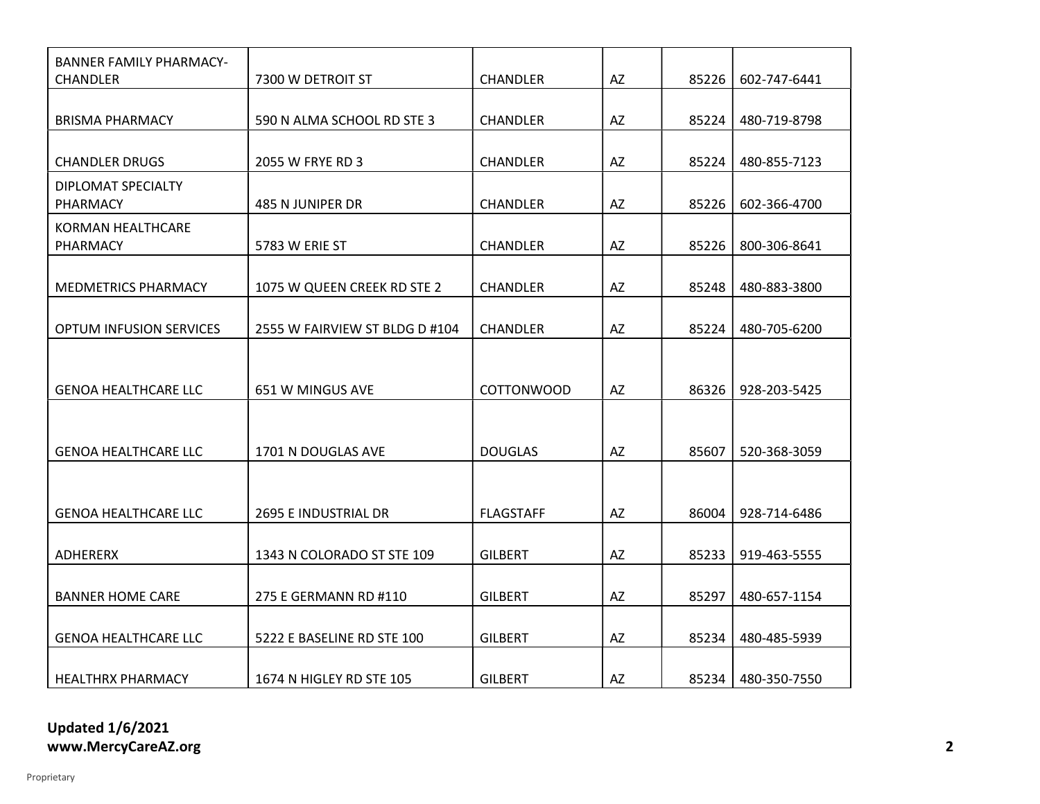| BANNER FAMILY PHARMACY-<br>CHANDLER   | 7300 W DETROIT ST              | <b>CHANDLER</b>   | AZ | 85226 | 602-747-6441 |
|---------------------------------------|--------------------------------|-------------------|----|-------|--------------|
|                                       |                                |                   |    |       |              |
| <b>BRISMA PHARMACY</b>                | 590 N ALMA SCHOOL RD STE 3     | <b>CHANDLER</b>   | AZ | 85224 | 480-719-8798 |
|                                       |                                |                   |    |       |              |
| <b>CHANDLER DRUGS</b>                 | 2055 W FRYE RD 3               | <b>CHANDLER</b>   | AZ | 85224 | 480-855-7123 |
| DIPLOMAT SPECIALTY<br><b>PHARMACY</b> | 485 N JUNIPER DR               | <b>CHANDLER</b>   | AZ | 85226 | 602-366-4700 |
| KORMAN HEALTHCARE                     |                                |                   |    |       |              |
| <b>PHARMACY</b>                       | 5783 W ERIE ST                 | <b>CHANDLER</b>   | AZ | 85226 | 800-306-8641 |
| <b>MEDMETRICS PHARMACY</b>            | 1075 W QUEEN CREEK RD STE 2    | <b>CHANDLER</b>   | AZ | 85248 | 480-883-3800 |
|                                       |                                |                   |    |       |              |
| <b>OPTUM INFUSION SERVICES</b>        | 2555 W FAIRVIEW ST BLDG D #104 | <b>CHANDLER</b>   | AZ | 85224 | 480-705-6200 |
|                                       |                                |                   |    |       |              |
|                                       |                                |                   |    |       |              |
| <b>GENOA HEALTHCARE LLC</b>           | 651 W MINGUS AVE               | <b>COTTONWOOD</b> | AZ | 86326 | 928-203-5425 |
|                                       |                                |                   |    |       |              |
|                                       |                                |                   |    |       |              |
| <b>GENOA HEALTHCARE LLC</b>           | 1701 N DOUGLAS AVE             | <b>DOUGLAS</b>    | AZ | 85607 | 520-368-3059 |
|                                       |                                |                   |    |       |              |
| <b>GENOA HEALTHCARE LLC</b>           | 2695 E INDUSTRIAL DR           | <b>FLAGSTAFF</b>  | AZ | 86004 | 928-714-6486 |
|                                       |                                |                   |    |       |              |
| ADHERERX                              | 1343 N COLORADO ST STE 109     | <b>GILBERT</b>    | AZ | 85233 | 919-463-5555 |
|                                       |                                |                   |    |       |              |
| <b>BANNER HOME CARE</b>               | 275 E GERMANN RD #110          | <b>GILBERT</b>    | AZ | 85297 | 480-657-1154 |
|                                       |                                |                   |    |       |              |
| <b>GENOA HEALTHCARE LLC</b>           | 5222 E BASELINE RD STE 100     | <b>GILBERT</b>    | AZ | 85234 | 480-485-5939 |
|                                       |                                |                   |    |       |              |
| <b>HEALTHRX PHARMACY</b>              | 1674 N HIGLEY RD STE 105       | <b>GILBERT</b>    | AZ | 85234 | 480-350-7550 |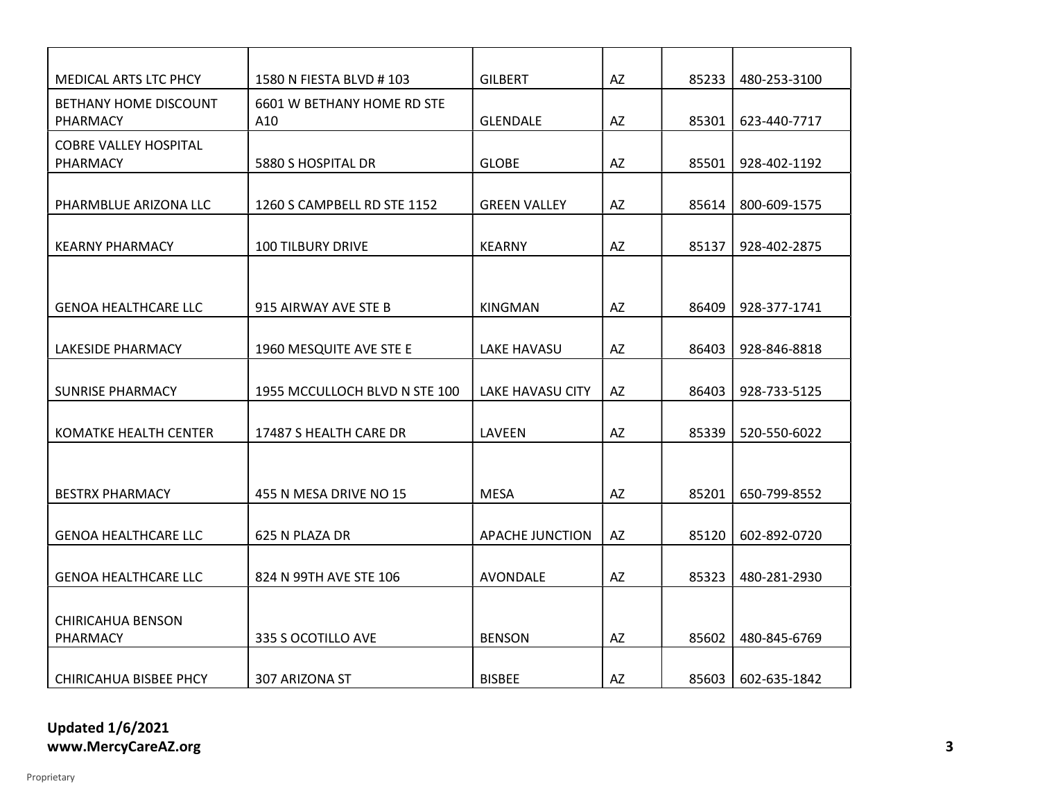| <b>MEDICAL ARTS LTC PHCY</b>                    | 1580 N FIESTA BLVD # 103          | <b>GILBERT</b>      | AZ        | 85233 | 480-253-3100 |
|-------------------------------------------------|-----------------------------------|---------------------|-----------|-------|--------------|
| <b>BETHANY HOME DISCOUNT</b><br><b>PHARMACY</b> | 6601 W BETHANY HOME RD STE<br>A10 | <b>GLENDALE</b>     | <b>AZ</b> | 85301 | 623-440-7717 |
| <b>COBRE VALLEY HOSPITAL</b><br><b>PHARMACY</b> | 5880 S HOSPITAL DR                | <b>GLOBE</b>        | AZ        | 85501 | 928-402-1192 |
| PHARMBLUE ARIZONA LLC                           | 1260 S CAMPBELL RD STE 1152       | <b>GREEN VALLEY</b> | AZ        | 85614 | 800-609-1575 |
| <b>KEARNY PHARMACY</b>                          | <b>100 TILBURY DRIVE</b>          | <b>KEARNY</b>       | AZ        | 85137 | 928-402-2875 |
|                                                 |                                   |                     |           |       |              |
| <b>GENOA HEALTHCARE LLC</b>                     | 915 AIRWAY AVE STE B              | <b>KINGMAN</b>      | AZ        | 86409 | 928-377-1741 |
| LAKESIDE PHARMACY                               | 1960 MESQUITE AVE STE E           | LAKE HAVASU         | AZ        | 86403 | 928-846-8818 |
| SUNRISE PHARMACY                                | 1955 MCCULLOCH BLVD N STE 100     | LAKE HAVASU CITY    | AZ        | 86403 | 928-733-5125 |
| KOMATKE HEALTH CENTER                           | 17487 S HEALTH CARE DR            | LAVEEN              | AZ        | 85339 | 520-550-6022 |
|                                                 |                                   |                     |           |       |              |
| <b>BESTRX PHARMACY</b>                          | 455 N MESA DRIVE NO 15            | <b>MESA</b>         | AZ        | 85201 | 650-799-8552 |
| <b>GENOA HEALTHCARE LLC</b>                     | 625 N PLAZA DR                    | APACHE JUNCTION     | AZ        | 85120 | 602-892-0720 |
| <b>GENOA HEALTHCARE LLC</b>                     | 824 N 99TH AVE STE 106            | AVONDALE            | AZ        | 85323 | 480-281-2930 |
| <b>CHIRICAHUA BENSON</b><br>PHARMACY            | 335 S OCOTILLO AVE                | <b>BENSON</b>       | AZ        | 85602 | 480-845-6769 |
| CHIRICAHUA BISBEE PHCY                          | 307 ARIZONA ST                    | <b>BISBEE</b>       | AZ        | 85603 | 602-635-1842 |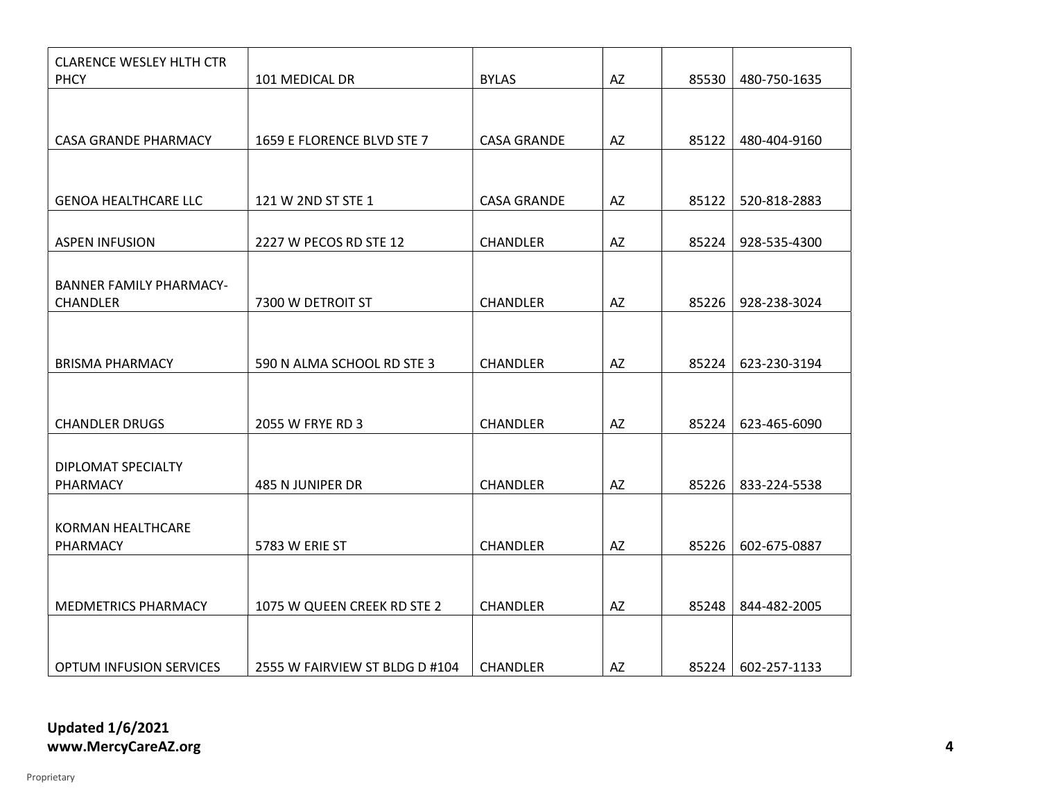| <b>CLARENCE WESLEY HLTH CTR</b><br><b>PHCY</b> | 101 MEDICAL DR                 | <b>BYLAS</b>       | AZ | 85530 | 480-750-1635 |
|------------------------------------------------|--------------------------------|--------------------|----|-------|--------------|
|                                                |                                |                    |    |       |              |
|                                                |                                |                    |    |       |              |
| <b>CASA GRANDE PHARMACY</b>                    | 1659 E FLORENCE BLVD STE 7     | <b>CASA GRANDE</b> | AZ | 85122 | 480-404-9160 |
|                                                |                                |                    |    |       |              |
| <b>GENOA HEALTHCARE LLC</b>                    | 121 W 2ND ST STE 1             | <b>CASA GRANDE</b> | AZ | 85122 | 520-818-2883 |
|                                                |                                |                    |    |       |              |
| <b>ASPEN INFUSION</b>                          | 2227 W PECOS RD STE 12         | <b>CHANDLER</b>    | AZ | 85224 | 928-535-4300 |
|                                                |                                |                    |    |       |              |
| <b>BANNER FAMILY PHARMACY-</b>                 |                                |                    |    |       |              |
| CHANDLER                                       | 7300 W DETROIT ST              | <b>CHANDLER</b>    | AZ | 85226 | 928-238-3024 |
|                                                |                                |                    |    |       |              |
|                                                |                                |                    |    |       |              |
| <b>BRISMA PHARMACY</b>                         | 590 N ALMA SCHOOL RD STE 3     | CHANDLER           | AZ | 85224 | 623-230-3194 |
|                                                |                                |                    |    |       |              |
|                                                |                                |                    |    |       |              |
| <b>CHANDLER DRUGS</b>                          | 2055 W FRYE RD 3               | <b>CHANDLER</b>    | AZ | 85224 | 623-465-6090 |
|                                                |                                |                    |    |       |              |
| DIPLOMAT SPECIALTY                             |                                |                    |    |       |              |
| PHARMACY                                       | 485 N JUNIPER DR               | <b>CHANDLER</b>    | AZ | 85226 | 833-224-5538 |
|                                                |                                |                    |    |       |              |
| <b>KORMAN HEALTHCARE</b>                       |                                |                    |    |       |              |
| PHARMACY                                       | 5783 W ERIE ST                 | CHANDLER           | AZ | 85226 | 602-675-0887 |
|                                                |                                |                    |    |       |              |
| <b>MEDMETRICS PHARMACY</b>                     | 1075 W QUEEN CREEK RD STE 2    | <b>CHANDLER</b>    | AZ | 85248 | 844-482-2005 |
|                                                |                                |                    |    |       |              |
|                                                |                                |                    |    |       |              |
| <b>OPTUM INFUSION SERVICES</b>                 | 2555 W FAIRVIEW ST BLDG D #104 | CHANDLER           | AZ | 85224 | 602-257-1133 |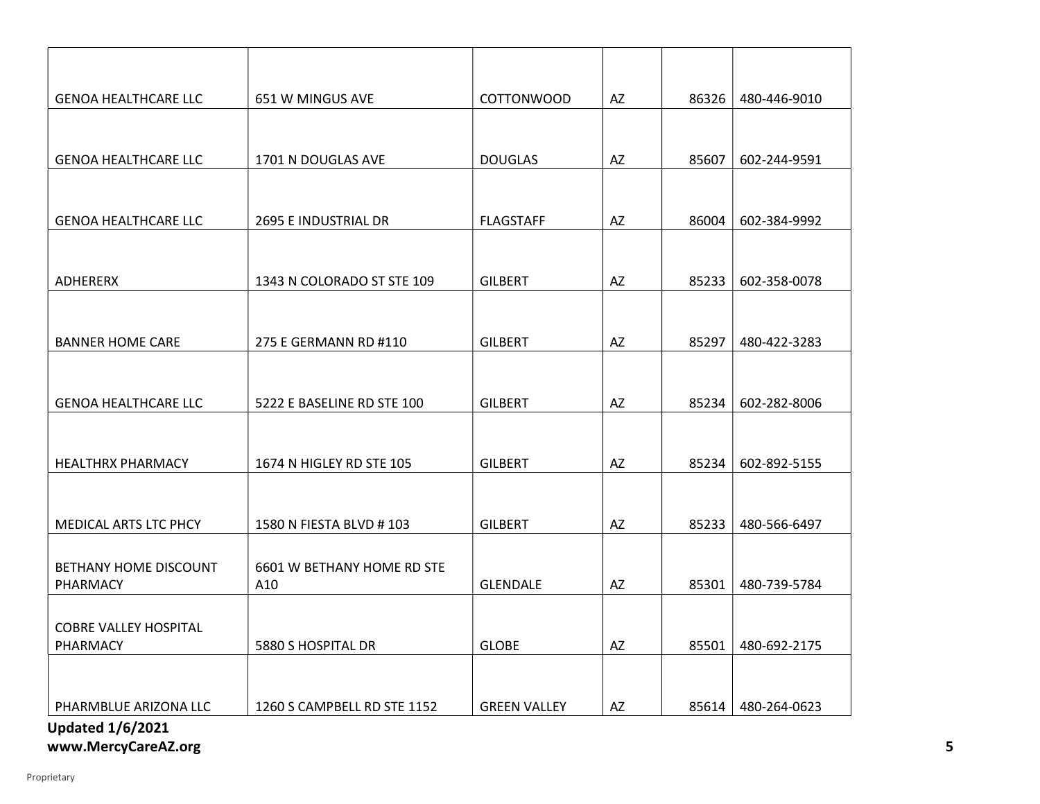| <b>GENOA HEALTHCARE LLC</b>                      | 651 W MINGUS AVE            | <b>COTTONWOOD</b>   | AZ | 86326 | 480-446-9010 |
|--------------------------------------------------|-----------------------------|---------------------|----|-------|--------------|
|                                                  |                             |                     |    |       |              |
| <b>GENOA HEALTHCARE LLC</b>                      | 1701 N DOUGLAS AVE          | <b>DOUGLAS</b>      | AZ | 85607 | 602-244-9591 |
|                                                  |                             |                     |    |       |              |
| <b>GENOA HEALTHCARE LLC</b>                      | 2695 E INDUSTRIAL DR        | <b>FLAGSTAFF</b>    | AZ | 86004 | 602-384-9992 |
|                                                  |                             |                     |    |       |              |
| ADHERERX                                         | 1343 N COLORADO ST STE 109  | <b>GILBERT</b>      | AZ | 85233 | 602-358-0078 |
|                                                  |                             |                     |    |       |              |
| <b>BANNER HOME CARE</b>                          | 275 E GERMANN RD #110       | <b>GILBERT</b>      | AZ | 85297 | 480-422-3283 |
|                                                  |                             |                     |    |       |              |
| <b>GENOA HEALTHCARE LLC</b>                      | 5222 E BASELINE RD STE 100  | <b>GILBERT</b>      | AZ | 85234 | 602-282-8006 |
|                                                  |                             |                     |    |       |              |
| <b>HEALTHRX PHARMACY</b>                         | 1674 N HIGLEY RD STE 105    | <b>GILBERT</b>      | AZ | 85234 | 602-892-5155 |
|                                                  |                             |                     |    |       |              |
|                                                  |                             |                     |    |       |              |
| MEDICAL ARTS LTC PHCY                            | 1580 N FIESTA BLVD #103     | <b>GILBERT</b>      | AZ | 85233 | 480-566-6497 |
| BETHANY HOME DISCOUNT                            | 6601 W BETHANY HOME RD STE  |                     |    |       |              |
| PHARMACY                                         | A10                         | <b>GLENDALE</b>     | AZ | 85301 | 480-739-5784 |
|                                                  |                             |                     |    |       |              |
| <b>COBRE VALLEY HOSPITAL</b><br>PHARMACY         | 5880 S HOSPITAL DR          | <b>GLOBE</b>        | AZ | 85501 | 480-692-2175 |
|                                                  |                             |                     |    |       |              |
|                                                  |                             |                     |    |       |              |
| PHARMBLUE ARIZONA LLC<br><b>Updated 1/6/2021</b> | 1260 S CAMPBELL RD STE 1152 | <b>GREEN VALLEY</b> | AZ | 85614 | 480-264-0623 |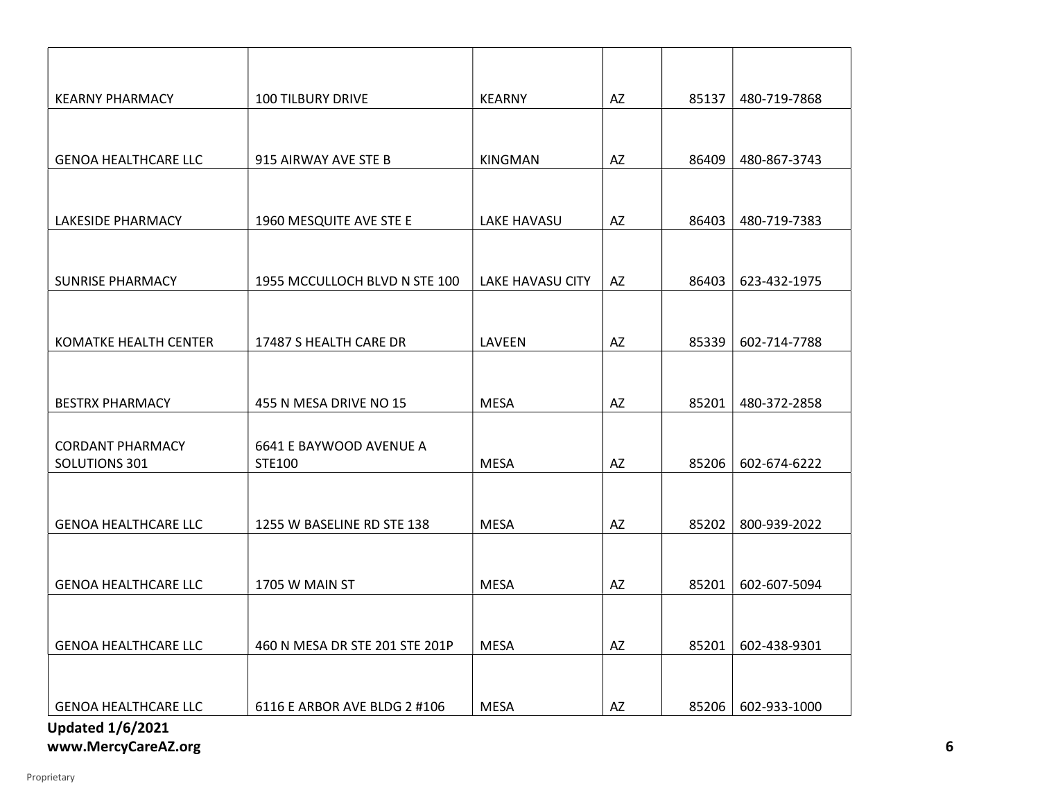| <b>KEARNY PHARMACY</b>                   | <b>100 TILBURY DRIVE</b>          | <b>KEARNY</b>           | AZ                     | 85137 | 480-719-7868 |
|------------------------------------------|-----------------------------------|-------------------------|------------------------|-------|--------------|
|                                          |                                   |                         |                        |       |              |
| <b>GENOA HEALTHCARE LLC</b>              | 915 AIRWAY AVE STE B              | KINGMAN                 | AZ                     | 86409 | 480-867-3743 |
|                                          |                                   |                         |                        |       |              |
| <b>LAKESIDE PHARMACY</b>                 | 1960 MESQUITE AVE STE E           | <b>LAKE HAVASU</b>      | AZ                     | 86403 | 480-719-7383 |
|                                          |                                   |                         |                        |       |              |
| <b>SUNRISE PHARMACY</b>                  | 1955 MCCULLOCH BLVD N STE 100     | <b>LAKE HAVASU CITY</b> | AZ                     | 86403 | 623-432-1975 |
|                                          |                                   |                         |                        |       |              |
| KOMATKE HEALTH CENTER                    | 17487 S HEALTH CARE DR            | LAVEEN                  | AZ                     | 85339 | 602-714-7788 |
|                                          |                                   |                         |                        |       |              |
| <b>BESTRX PHARMACY</b>                   | 455 N MESA DRIVE NO 15            | <b>MESA</b>             | AZ                     | 85201 | 480-372-2858 |
|                                          |                                   |                         |                        |       |              |
| <b>CORDANT PHARMACY</b><br>SOLUTIONS 301 | 6641 E BAYWOOD AVENUE A<br>STE100 | <b>MESA</b>             | AZ                     | 85206 | 602-674-6222 |
|                                          |                                   |                         |                        |       |              |
| <b>GENOA HEALTHCARE LLC</b>              | 1255 W BASELINE RD STE 138        | <b>MESA</b>             | AZ                     | 85202 | 800-939-2022 |
|                                          |                                   |                         |                        |       |              |
| <b>GENOA HEALTHCARE LLC</b>              | 1705 W MAIN ST                    | <b>MESA</b>             | AZ                     | 85201 | 602-607-5094 |
|                                          |                                   |                         |                        |       |              |
| <b>GENOA HEALTHCARE LLC</b>              | 460 N MESA DR STE 201 STE 201P    | <b>MESA</b>             | $\mathsf{A}\mathsf{Z}$ | 85201 | 602-438-9301 |
|                                          |                                   |                         |                        |       |              |
| <b>GENOA HEALTHCARE LLC</b>              | 6116 E ARBOR AVE BLDG 2 #106      | <b>MESA</b>             | AZ                     | 85206 | 602-933-1000 |
| <b>Updated 1/6/2021</b>                  |                                   |                         |                        |       |              |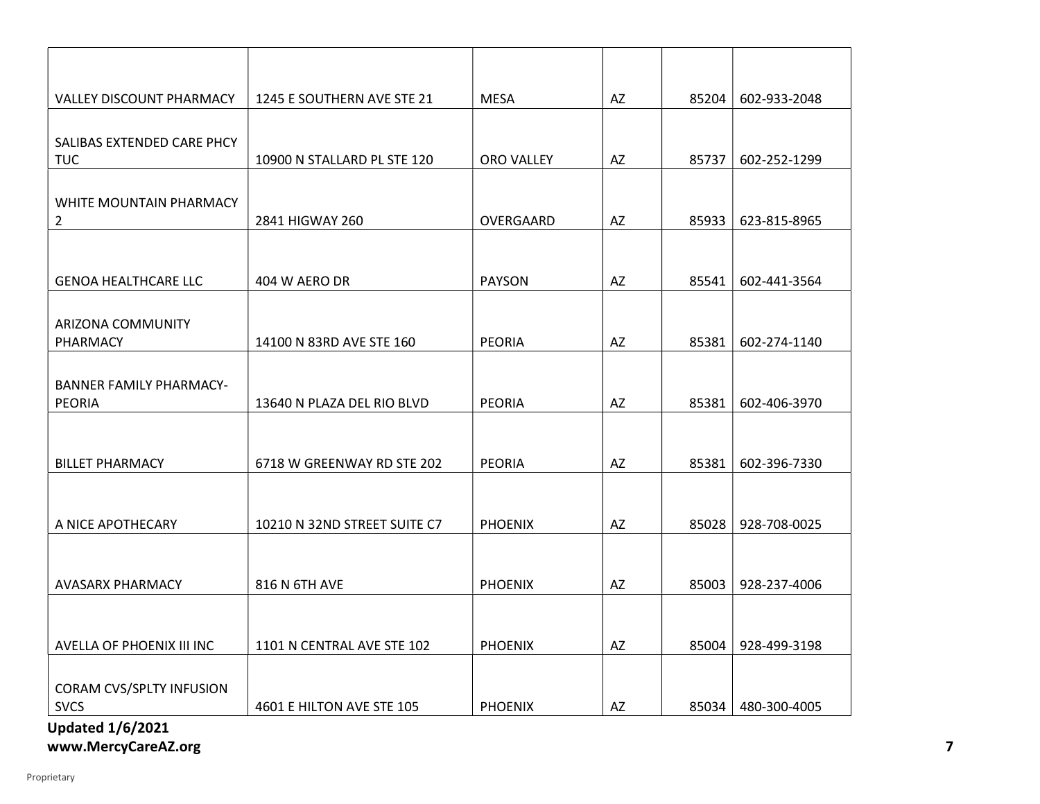| <b>VALLEY DISCOUNT PHARMACY</b>                 | 1245 E SOUTHERN AVE STE 21   | <b>MESA</b>    | AZ | 85204 | 602-933-2048 |
|-------------------------------------------------|------------------------------|----------------|----|-------|--------------|
| SALIBAS EXTENDED CARE PHCY<br><b>TUC</b>        | 10900 N STALLARD PL STE 120  | ORO VALLEY     | AZ | 85737 | 602-252-1299 |
| WHITE MOUNTAIN PHARMACY<br>$\overline{2}$       | 2841 HIGWAY 260              | OVERGAARD      | AZ | 85933 | 623-815-8965 |
| <b>GENOA HEALTHCARE LLC</b>                     | 404 W AERO DR                | <b>PAYSON</b>  | AZ | 85541 | 602-441-3564 |
| ARIZONA COMMUNITY<br>PHARMACY                   | 14100 N 83RD AVE STE 160     | <b>PEORIA</b>  | AZ | 85381 | 602-274-1140 |
| <b>BANNER FAMILY PHARMACY-</b><br><b>PEORIA</b> | 13640 N PLAZA DEL RIO BLVD   | <b>PEORIA</b>  | AZ | 85381 | 602-406-3970 |
| <b>BILLET PHARMACY</b>                          | 6718 W GREENWAY RD STE 202   | <b>PEORIA</b>  | AZ | 85381 | 602-396-7330 |
| A NICE APOTHECARY                               | 10210 N 32ND STREET SUITE C7 | <b>PHOENIX</b> | AZ | 85028 | 928-708-0025 |
| AVASARX PHARMACY                                | 816 N 6TH AVE                | <b>PHOENIX</b> | AZ | 85003 | 928-237-4006 |
| AVELLA OF PHOENIX III INC                       | 1101 N CENTRAL AVE STE 102   | <b>PHOENIX</b> | AZ | 85004 | 928-499-3198 |
| <b>CORAM CVS/SPLTY INFUSION</b><br><b>SVCS</b>  | 4601 E HILTON AVE STE 105    | <b>PHOENIX</b> | AZ | 85034 | 480-300-4005 |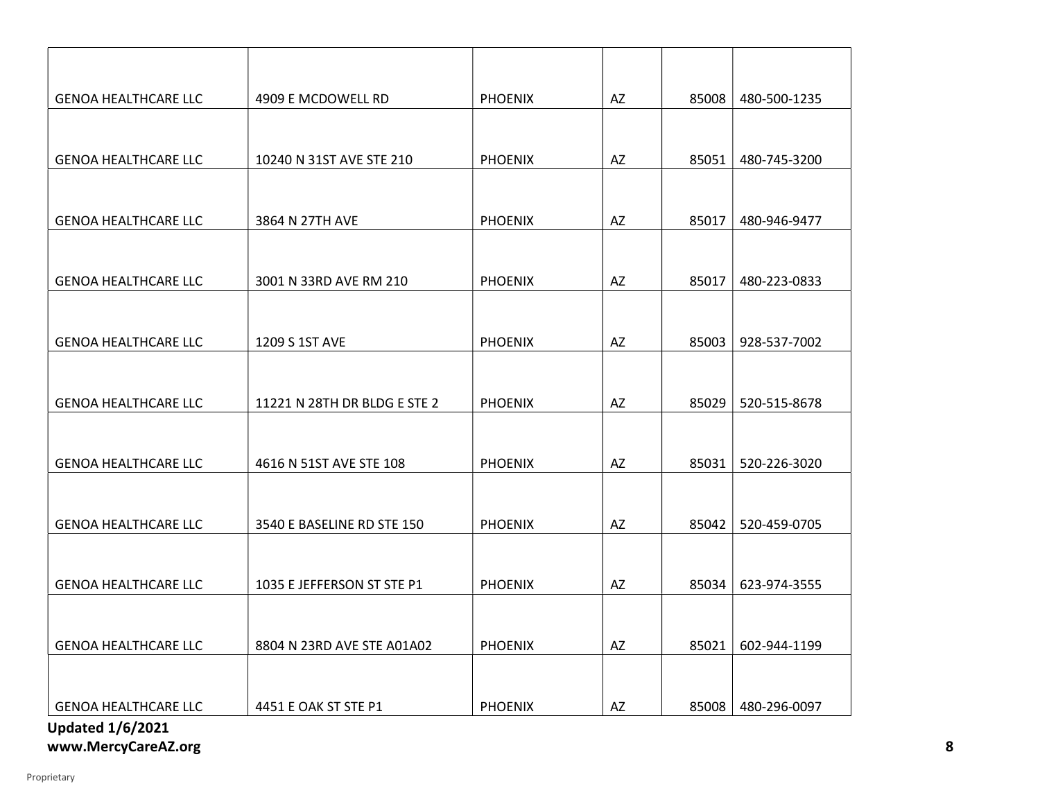| <b>GENOA HEALTHCARE LLC</b> | 4909 E MCDOWELL RD           | <b>PHOENIX</b> | AZ                     | 85008 | 480-500-1235 |
|-----------------------------|------------------------------|----------------|------------------------|-------|--------------|
|                             |                              |                |                        |       |              |
| <b>GENOA HEALTHCARE LLC</b> | 10240 N 31ST AVE STE 210     | <b>PHOENIX</b> | AZ                     | 85051 | 480-745-3200 |
|                             |                              |                |                        |       |              |
|                             |                              |                |                        |       |              |
| <b>GENOA HEALTHCARE LLC</b> | 3864 N 27TH AVE              | <b>PHOENIX</b> | AZ                     | 85017 | 480-946-9477 |
|                             |                              |                |                        |       |              |
| <b>GENOA HEALTHCARE LLC</b> | 3001 N 33RD AVE RM 210       | <b>PHOENIX</b> | AZ                     | 85017 | 480-223-0833 |
|                             |                              |                |                        |       |              |
|                             |                              |                |                        |       |              |
| <b>GENOA HEALTHCARE LLC</b> | 1209 S 1ST AVE               | <b>PHOENIX</b> | AZ                     | 85003 | 928-537-7002 |
|                             |                              |                |                        |       |              |
| <b>GENOA HEALTHCARE LLC</b> | 11221 N 28TH DR BLDG E STE 2 | <b>PHOENIX</b> | AZ                     | 85029 | 520-515-8678 |
|                             |                              |                |                        |       |              |
| <b>GENOA HEALTHCARE LLC</b> | 4616 N 51ST AVE STE 108      | <b>PHOENIX</b> | AZ                     | 85031 | 520-226-3020 |
|                             |                              |                |                        |       |              |
|                             |                              |                |                        |       |              |
| <b>GENOA HEALTHCARE LLC</b> | 3540 E BASELINE RD STE 150   | <b>PHOENIX</b> | AZ                     | 85042 | 520-459-0705 |
|                             |                              |                |                        |       |              |
| <b>GENOA HEALTHCARE LLC</b> | 1035 E JEFFERSON ST STE P1   | <b>PHOENIX</b> | AZ                     | 85034 | 623-974-3555 |
|                             |                              |                |                        |       |              |
| <b>GENOA HEALTHCARE LLC</b> | 8804 N 23RD AVE STE A01A02   | <b>PHOENIX</b> | $\mathsf{A}\mathsf{Z}$ | 85021 | 602-944-1199 |
|                             |                              |                |                        |       |              |
|                             |                              |                |                        |       |              |
| <b>GENOA HEALTHCARE LLC</b> | 4451 E OAK ST STE P1         | <b>PHOENIX</b> | AZ                     | 85008 | 480-296-0097 |
| <b>Updated 1/6/2021</b>     |                              |                |                        |       |              |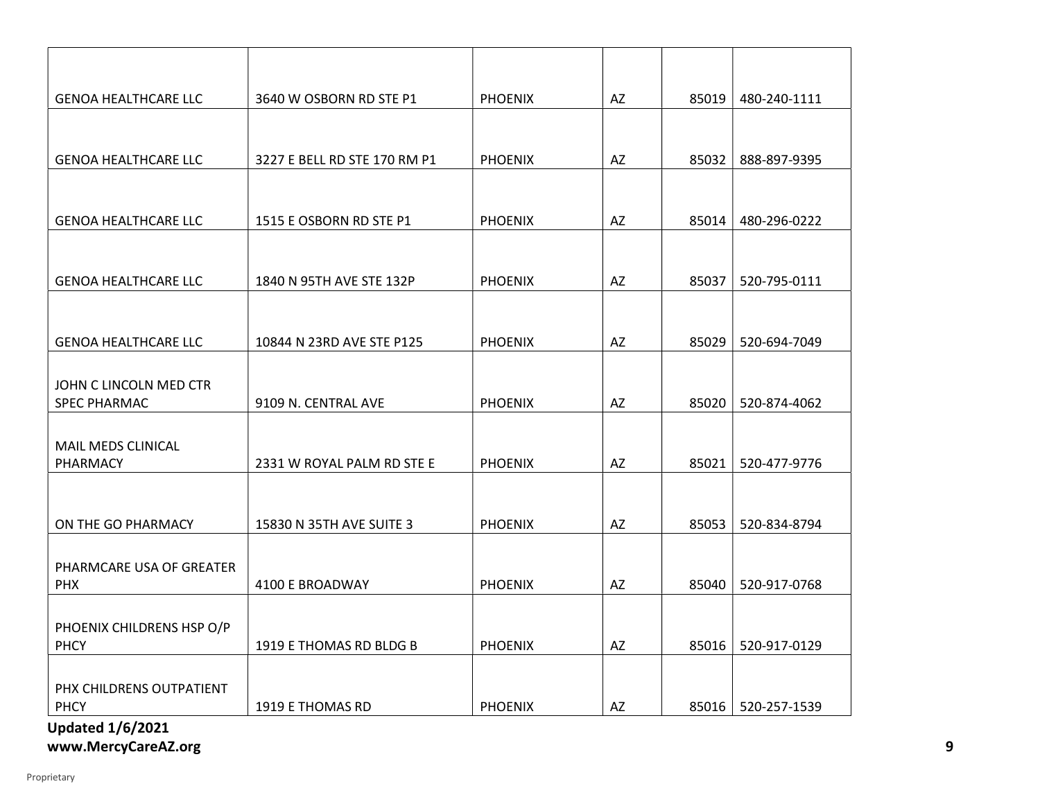| <b>GENOA HEALTHCARE LLC</b>                   | 3640 W OSBORN RD STE P1      | <b>PHOENIX</b> | AZ | 85019 | 480-240-1111 |
|-----------------------------------------------|------------------------------|----------------|----|-------|--------------|
|                                               |                              |                |    |       |              |
| <b>GENOA HEALTHCARE LLC</b>                   | 3227 E BELL RD STE 170 RM P1 | <b>PHOENIX</b> | AZ | 85032 | 888-897-9395 |
|                                               |                              |                |    |       |              |
| <b>GENOA HEALTHCARE LLC</b>                   | 1515 E OSBORN RD STE P1      | <b>PHOENIX</b> | AZ | 85014 | 480-296-0222 |
|                                               |                              |                |    |       |              |
| <b>GENOA HEALTHCARE LLC</b>                   | 1840 N 95TH AVE STE 132P     | <b>PHOENIX</b> | AZ | 85037 | 520-795-0111 |
|                                               |                              |                |    |       |              |
| <b>GENOA HEALTHCARE LLC</b>                   | 10844 N 23RD AVE STE P125    | <b>PHOENIX</b> | AZ | 85029 | 520-694-7049 |
|                                               |                              |                |    |       |              |
| JOHN C LINCOLN MED CTR<br><b>SPEC PHARMAC</b> | 9109 N. CENTRAL AVE          | <b>PHOENIX</b> | AZ | 85020 | 520-874-4062 |
|                                               |                              |                |    |       |              |
| MAIL MEDS CLINICAL<br>PHARMACY                | 2331 W ROYAL PALM RD STE E   | <b>PHOENIX</b> | AZ | 85021 | 520-477-9776 |
|                                               |                              |                |    |       |              |
| ON THE GO PHARMACY                            | 15830 N 35TH AVE SUITE 3     | <b>PHOENIX</b> | AZ | 85053 | 520-834-8794 |
|                                               |                              |                |    |       |              |
| PHARMCARE USA OF GREATER<br><b>PHX</b>        | 4100 E BROADWAY              | <b>PHOENIX</b> | AZ | 85040 | 520-917-0768 |
|                                               |                              |                |    |       |              |
| PHOENIX CHILDRENS HSP O/P<br><b>PHCY</b>      | 1919 E THOMAS RD BLDG B      | <b>PHOENIX</b> | AZ | 85016 | 520-917-0129 |
|                                               |                              |                |    |       |              |
| PHX CHILDRENS OUTPATIENT<br>PHCY              | 1919 E THOMAS RD             | <b>PHOENIX</b> | AZ | 85016 | 520-257-1539 |
| <b>Updated 1/6/2021</b>                       |                              |                |    |       |              |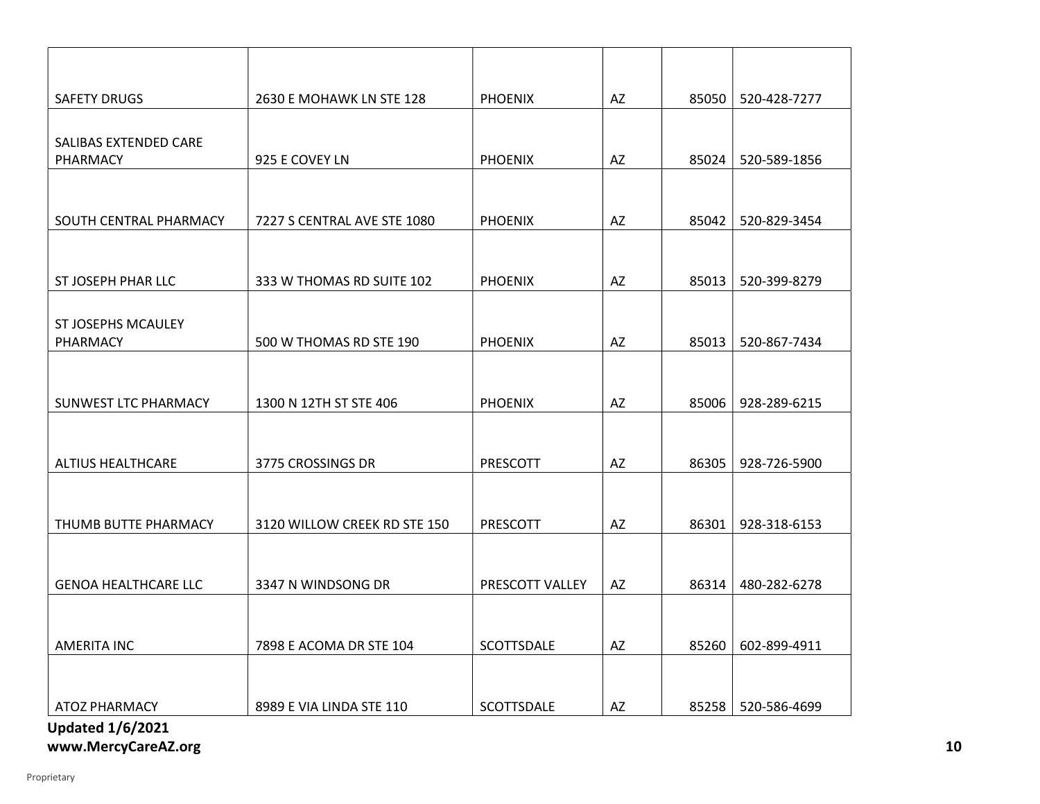| <b>SAFETY DRUGS</b>               | 2630 E MOHAWK LN STE 128     | <b>PHOENIX</b>  | AZ | 85050 | 520-428-7277         |
|-----------------------------------|------------------------------|-----------------|----|-------|----------------------|
|                                   |                              |                 |    |       |                      |
| SALIBAS EXTENDED CARE<br>PHARMACY | 925 E COVEY LN               | <b>PHOENIX</b>  | AZ | 85024 | 520-589-1856         |
|                                   |                              |                 |    |       |                      |
| SOUTH CENTRAL PHARMACY            | 7227 S CENTRAL AVE STE 1080  | <b>PHOENIX</b>  | AZ | 85042 | 520-829-3454         |
|                                   |                              |                 |    |       |                      |
|                                   |                              |                 |    |       |                      |
| ST JOSEPH PHAR LLC                | 333 W THOMAS RD SUITE 102    | <b>PHOENIX</b>  | AZ | 85013 | 520-399-8279         |
| ST JOSEPHS MCAULEY                |                              |                 |    |       |                      |
| PHARMACY                          | 500 W THOMAS RD STE 190      | <b>PHOENIX</b>  | AZ | 85013 | 520-867-7434         |
|                                   |                              |                 |    |       |                      |
| SUNWEST LTC PHARMACY              | 1300 N 12TH ST STE 406       | <b>PHOENIX</b>  | AZ | 85006 | 928-289-6215         |
|                                   |                              |                 |    |       |                      |
| <b>ALTIUS HEALTHCARE</b>          | 3775 CROSSINGS DR            | PRESCOTT        | AZ | 86305 | 928-726-5900         |
|                                   |                              |                 |    |       |                      |
| THUMB BUTTE PHARMACY              | 3120 WILLOW CREEK RD STE 150 | PRESCOTT        | AZ | 86301 | 928-318-6153         |
|                                   |                              |                 |    |       |                      |
|                                   |                              |                 |    |       |                      |
| <b>GENOA HEALTHCARE LLC</b>       | 3347 N WINDSONG DR           | PRESCOTT VALLEY | AZ | 86314 | 480-282-6278         |
|                                   |                              |                 |    |       |                      |
| <b>AMERITA INC</b>                | 7898 E ACOMA DR STE 104      | SCOTTSDALE      | AZ | 85260 | 602-899-4911         |
|                                   |                              |                 |    |       |                      |
| ATOZ PHARMACY                     | 8989 E VIA LINDA STE 110     | SCOTTSDALE      | AZ |       | 85258   520-586-4699 |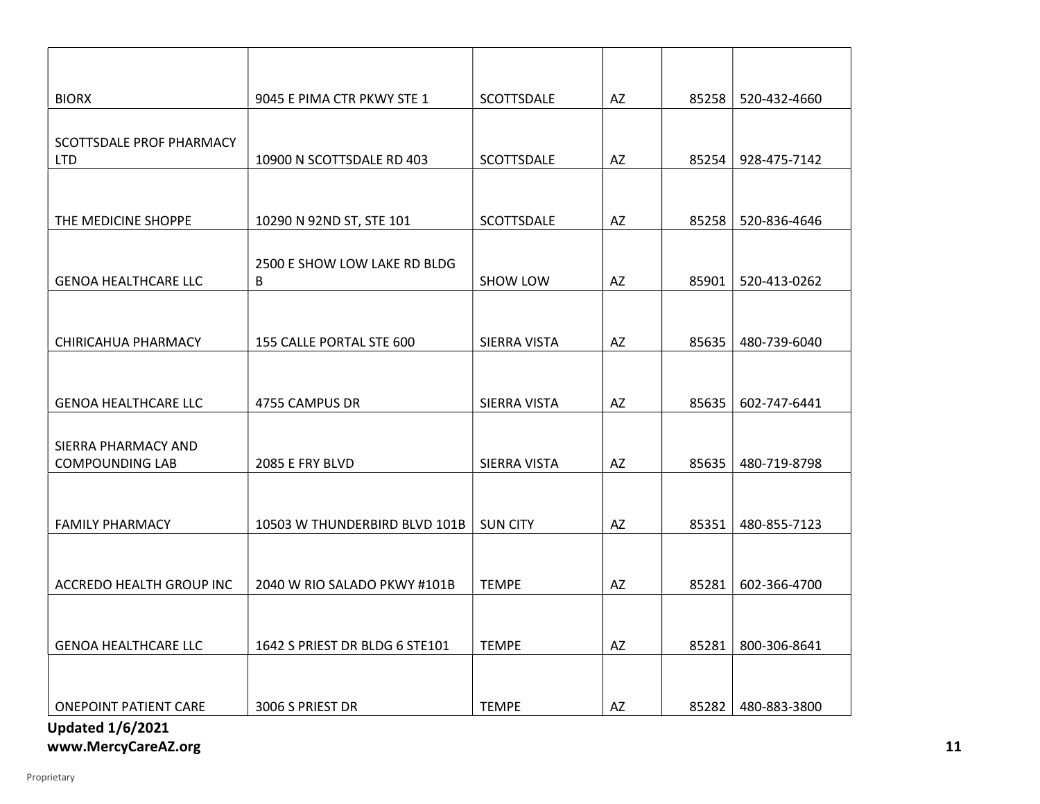| <b>BIORX</b>                                            | 9045 E PIMA CTR PKWY STE 1        | SCOTTSDALE        | AZ | 85258 | 520-432-4660 |
|---------------------------------------------------------|-----------------------------------|-------------------|----|-------|--------------|
|                                                         |                                   |                   |    |       |              |
| SCOTTSDALE PROF PHARMACY<br><b>LTD</b>                  | 10900 N SCOTTSDALE RD 403         | <b>SCOTTSDALE</b> | AZ | 85254 | 928-475-7142 |
|                                                         |                                   |                   |    |       |              |
| THE MEDICINE SHOPPE                                     | 10290 N 92ND ST, STE 101          | SCOTTSDALE        | AZ | 85258 | 520-836-4646 |
|                                                         |                                   |                   |    |       |              |
| <b>GENOA HEALTHCARE LLC</b>                             | 2500 E SHOW LOW LAKE RD BLDG<br>B | SHOW LOW          | AZ | 85901 | 520-413-0262 |
|                                                         |                                   |                   |    |       |              |
| CHIRICAHUA PHARMACY                                     | 155 CALLE PORTAL STE 600          | SIERRA VISTA      | AZ | 85635 | 480-739-6040 |
|                                                         |                                   |                   |    |       |              |
| <b>GENOA HEALTHCARE LLC</b>                             | 4755 CAMPUS DR                    | SIERRA VISTA      | AZ | 85635 | 602-747-6441 |
|                                                         |                                   |                   |    |       |              |
| SIERRA PHARMACY AND<br><b>COMPOUNDING LAB</b>           | 2085 E FRY BLVD                   | SIERRA VISTA      | AZ | 85635 | 480-719-8798 |
|                                                         |                                   |                   |    |       |              |
| <b>FAMILY PHARMACY</b>                                  | 10503 W THUNDERBIRD BLVD 101B     | <b>SUN CITY</b>   | AZ | 85351 | 480-855-7123 |
|                                                         |                                   |                   |    |       |              |
| ACCREDO HEALTH GROUP INC                                | 2040 W RIO SALADO PKWY #101B      | <b>TEMPE</b>      | AZ | 85281 | 602-366-4700 |
|                                                         |                                   |                   |    |       |              |
| <b>GENOA HEALTHCARE LLC</b>                             | 1642 S PRIEST DR BLDG 6 STE101    | <b>TEMPE</b>      | AZ | 85281 | 800-306-8641 |
|                                                         |                                   |                   |    |       |              |
|                                                         |                                   |                   |    |       |              |
| <b>ONEPOINT PATIENT CARE</b><br><b>Updated 1/6/2021</b> | 3006 S PRIEST DR                  | <b>TEMPE</b>      | AZ | 85282 | 480-883-3800 |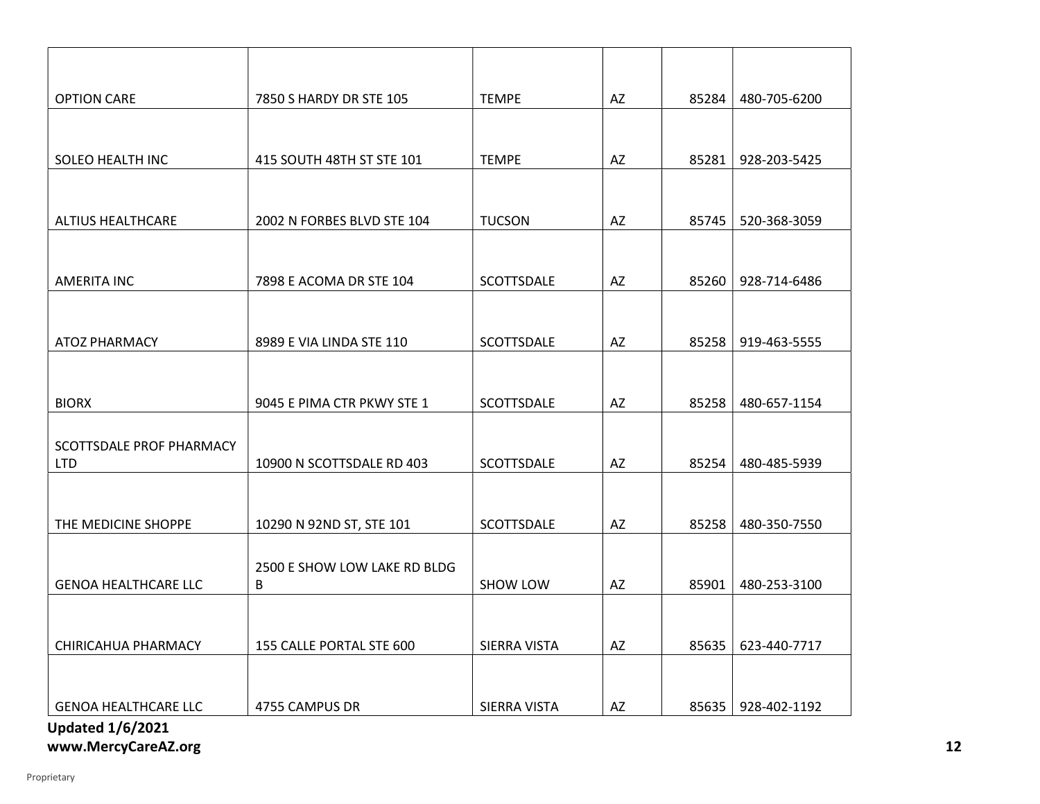# Updated 1/6/2021 OPTION CARE 250 S HARDY DR STE 105 TEMPE AZ 85284 480-705-6200 SOLEO HEALTH INC 415 SOUTH 48TH ST STE 101 TEMPE AZ AZ 85281 928-203-5425 ALTIUS HEALTHCARE 2002 N FORBES BLVD STE 104 TUCSON ALTIUS HEALTHCARE 3059 AMERITA INC 28-714-6486 7898 E ACOMA DR STE 104 SCOTTSDALE 2 AZ 85260 928-714-6486 ATOZ PHARMACY 8989 E VIA LINDA STE 110 SCOTTSDALE AZ 85258 919-463-5555 BIORX BOORX BIORX BIORY SERIMA CTR PKWY STE 1 SCOTTSDALE AZ RESERVED AS A 480-657-1154 SCOTTSDALE PROF PHARMACY LTD 10900 N SCOTTSDALE RD 403 SCOTTSDALE AZ 85254 480-485-5939 THE MEDICINE SHOPPE 10290 N 92ND ST, STE 101 SCOTTSDALE AZ 85258 480-350-7550 GENOA HEALTHCARE LLC 2500 E SHOW LOW LAKE RD BLDG B SHOW LOW AZ 85901 480-253-3100 CHIRICAHUA PHARMACY | 155 CALLE PORTAL STE 600 | SIERRA VISTA | AZ | 85635 | 623-440-7717 GENOA HEALTHCARE LLC  $\vert$  4755 CAMPUS DR SIERRA VISTA  $\vert$  AZ  $\vert$  85635 928-402-1192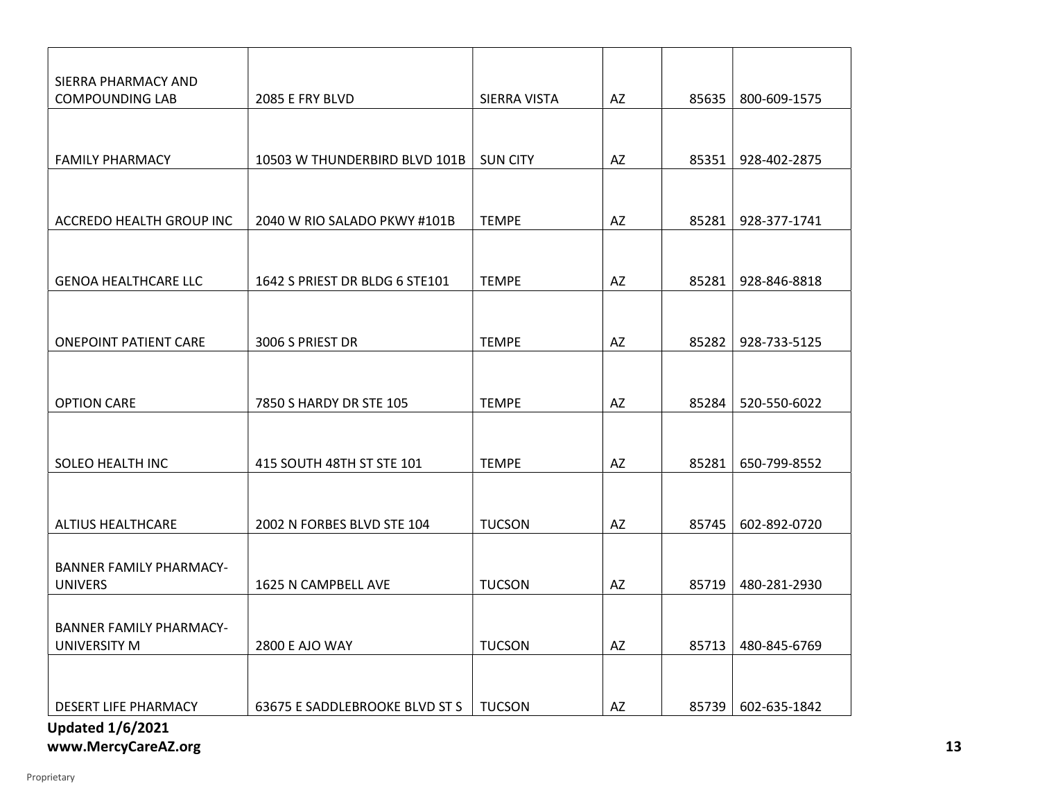| SIERRA PHARMACY AND            |                                |                 |           |       |              |
|--------------------------------|--------------------------------|-----------------|-----------|-------|--------------|
| <b>COMPOUNDING LAB</b>         | 2085 E FRY BLVD                | SIERRA VISTA    | AZ        | 85635 | 800-609-1575 |
|                                |                                |                 |           |       |              |
|                                |                                |                 |           |       |              |
| <b>FAMILY PHARMACY</b>         | 10503 W THUNDERBIRD BLVD 101B  | <b>SUN CITY</b> | AZ        | 85351 | 928-402-2875 |
|                                |                                |                 |           |       |              |
|                                |                                |                 |           |       |              |
| ACCREDO HEALTH GROUP INC       | 2040 W RIO SALADO PKWY #101B   | <b>TEMPE</b>    | AZ        | 85281 | 928-377-1741 |
|                                |                                |                 |           |       |              |
|                                |                                |                 |           |       |              |
| <b>GENOA HEALTHCARE LLC</b>    | 1642 S PRIEST DR BLDG 6 STE101 | <b>TEMPE</b>    | AZ        | 85281 | 928-846-8818 |
|                                |                                |                 |           |       |              |
|                                |                                |                 |           |       |              |
|                                |                                |                 |           |       |              |
| <b>ONEPOINT PATIENT CARE</b>   | 3006 S PRIEST DR               | <b>TEMPE</b>    | <b>AZ</b> | 85282 | 928-733-5125 |
|                                |                                |                 |           |       |              |
|                                |                                |                 |           |       |              |
| <b>OPTION CARE</b>             | 7850 S HARDY DR STE 105        | <b>TEMPE</b>    | AZ        | 85284 | 520-550-6022 |
|                                |                                |                 |           |       |              |
|                                |                                |                 |           |       |              |
| SOLEO HEALTH INC               | 415 SOUTH 48TH ST STE 101      | <b>TEMPE</b>    | AZ        | 85281 | 650-799-8552 |
|                                |                                |                 |           |       |              |
|                                |                                |                 |           |       |              |
| <b>ALTIUS HEALTHCARE</b>       | 2002 N FORBES BLVD STE 104     | <b>TUCSON</b>   | AZ        | 85745 | 602-892-0720 |
|                                |                                |                 |           |       |              |
|                                |                                |                 |           |       |              |
| <b>BANNER FAMILY PHARMACY-</b> |                                |                 |           |       |              |
| <b>UNIVERS</b>                 | 1625 N CAMPBELL AVE            | <b>TUCSON</b>   | AZ        | 85719 | 480-281-2930 |
|                                |                                |                 |           |       |              |
| <b>BANNER FAMILY PHARMACY-</b> |                                |                 |           |       |              |
| UNIVERSITY M                   | 2800 E AJO WAY                 | <b>TUCSON</b>   | AZ        | 85713 | 480-845-6769 |
|                                |                                |                 |           |       |              |
|                                |                                |                 |           |       |              |
| DESERT LIFE PHARMACY           | 63675 E SADDLEBROOKE BLVD ST S | <b>TUCSON</b>   | AZ        | 85739 | 602-635-1842 |
| <b>Updated 1/6/2021</b>        |                                |                 |           |       |              |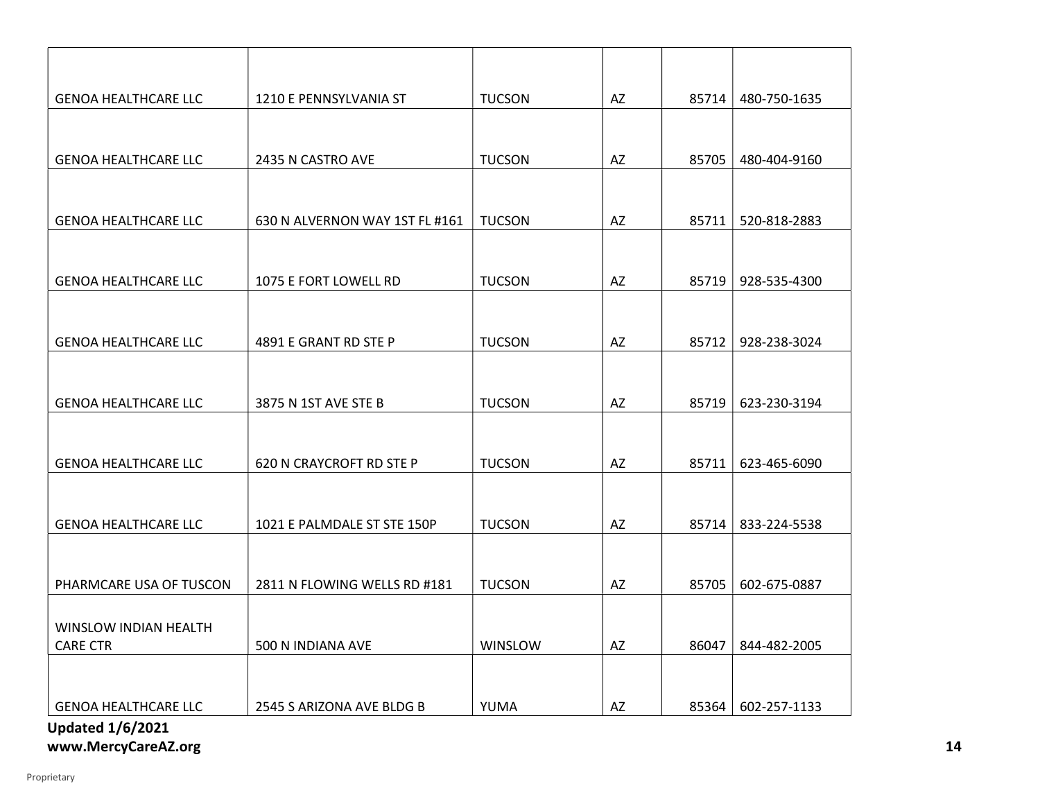| <b>GENOA HEALTHCARE LLC</b>                     | 1210 E PENNSYLVANIA ST         | <b>TUCSON</b> | AZ                     | 85714 | 480-750-1635 |
|-------------------------------------------------|--------------------------------|---------------|------------------------|-------|--------------|
|                                                 |                                |               |                        |       |              |
| <b>GENOA HEALTHCARE LLC</b>                     | 2435 N CASTRO AVE              | <b>TUCSON</b> | AZ                     | 85705 | 480-404-9160 |
|                                                 |                                |               |                        |       |              |
| <b>GENOA HEALTHCARE LLC</b>                     | 630 N ALVERNON WAY 1ST FL #161 | <b>TUCSON</b> | AZ                     | 85711 | 520-818-2883 |
|                                                 |                                |               |                        |       |              |
| <b>GENOA HEALTHCARE LLC</b>                     | 1075 E FORT LOWELL RD          | <b>TUCSON</b> | AZ                     | 85719 | 928-535-4300 |
|                                                 |                                |               |                        |       |              |
| <b>GENOA HEALTHCARE LLC</b>                     | 4891 E GRANT RD STE P          | <b>TUCSON</b> | AZ                     | 85712 | 928-238-3024 |
|                                                 |                                |               |                        |       |              |
| <b>GENOA HEALTHCARE LLC</b>                     | 3875 N 1ST AVE STE B           | <b>TUCSON</b> | AZ                     | 85719 | 623-230-3194 |
|                                                 |                                |               |                        |       |              |
| <b>GENOA HEALTHCARE LLC</b>                     | 620 N CRAYCROFT RD STE P       | <b>TUCSON</b> | AZ                     | 85711 | 623-465-6090 |
|                                                 |                                |               |                        |       |              |
| <b>GENOA HEALTHCARE LLC</b>                     | 1021 E PALMDALE ST STE 150P    | <b>TUCSON</b> | AZ                     | 85714 | 833-224-5538 |
|                                                 |                                |               |                        |       |              |
| PHARMCARE USA OF TUSCON                         | 2811 N FLOWING WELLS RD #181   | <b>TUCSON</b> | AZ                     | 85705 | 602-675-0887 |
|                                                 |                                |               |                        |       |              |
| <b>WINSLOW INDIAN HEALTH</b><br><b>CARE CTR</b> | 500 N INDIANA AVE              | WINSLOW       | $\mathsf{A}\mathsf{Z}$ | 86047 | 844-482-2005 |
|                                                 |                                |               |                        |       |              |
| <b>GENOA HEALTHCARE LLC</b>                     | 2545 S ARIZONA AVE BLDG B      | YUMA          | AZ                     | 85364 | 602-257-1133 |
| <b>Updated 1/6/2021</b>                         |                                |               |                        |       |              |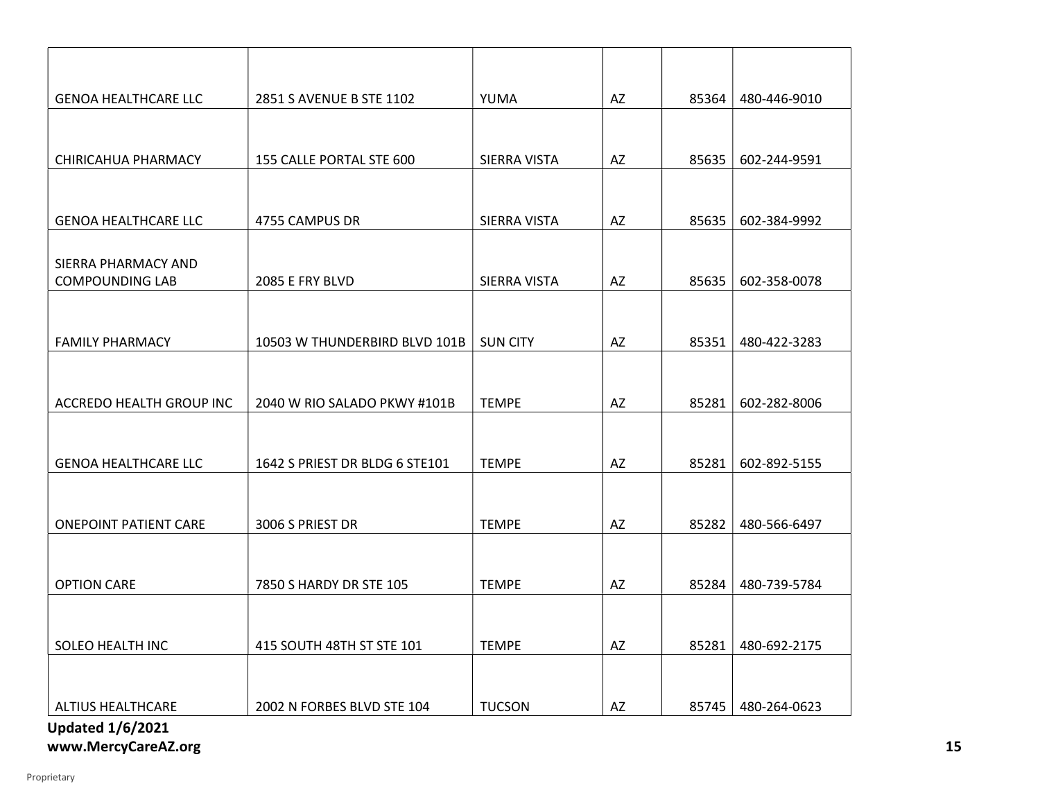| <b>GENOA HEALTHCARE LLC</b>  | 2851 S AVENUE B STE 1102       | YUMA            | AZ        | 85364 | 480-446-9010 |
|------------------------------|--------------------------------|-----------------|-----------|-------|--------------|
|                              |                                |                 |           |       |              |
| CHIRICAHUA PHARMACY          | 155 CALLE PORTAL STE 600       | SIERRA VISTA    | AZ        | 85635 | 602-244-9591 |
|                              |                                |                 |           |       |              |
|                              |                                |                 |           |       |              |
| <b>GENOA HEALTHCARE LLC</b>  | 4755 CAMPUS DR                 | SIERRA VISTA    | AZ        | 85635 | 602-384-9992 |
| SIERRA PHARMACY AND          |                                |                 |           |       |              |
| <b>COMPOUNDING LAB</b>       | 2085 E FRY BLVD                | SIERRA VISTA    | AZ        | 85635 | 602-358-0078 |
|                              |                                |                 |           |       |              |
| <b>FAMILY PHARMACY</b>       | 10503 W THUNDERBIRD BLVD 101B  | <b>SUN CITY</b> | AZ        | 85351 | 480-422-3283 |
|                              |                                |                 |           |       |              |
|                              |                                |                 |           |       |              |
| ACCREDO HEALTH GROUP INC     | 2040 W RIO SALADO PKWY #101B   | <b>TEMPE</b>    | AZ        | 85281 | 602-282-8006 |
|                              |                                |                 |           |       |              |
| <b>GENOA HEALTHCARE LLC</b>  | 1642 S PRIEST DR BLDG 6 STE101 | <b>TEMPE</b>    | AZ        | 85281 | 602-892-5155 |
|                              |                                |                 |           |       |              |
| <b>ONEPOINT PATIENT CARE</b> | 3006 S PRIEST DR               | <b>TEMPE</b>    | <b>AZ</b> | 85282 | 480-566-6497 |
|                              |                                |                 |           |       |              |
|                              |                                |                 |           |       |              |
| <b>OPTION CARE</b>           | 7850 S HARDY DR STE 105        | <b>TEMPE</b>    | AZ        | 85284 | 480-739-5784 |
|                              |                                |                 |           |       |              |
| SOLEO HEALTH INC             | 415 SOUTH 48TH ST STE 101      | <b>TEMPE</b>    | AZ        | 85281 | 480-692-2175 |
|                              |                                |                 |           |       |              |
| <b>ALTIUS HEALTHCARE</b>     |                                | <b>TUCSON</b>   |           |       |              |
| <b>Updated 1/6/2021</b>      | 2002 N FORBES BLVD STE 104     |                 | AZ        | 85745 | 480-264-0623 |
|                              |                                |                 |           |       |              |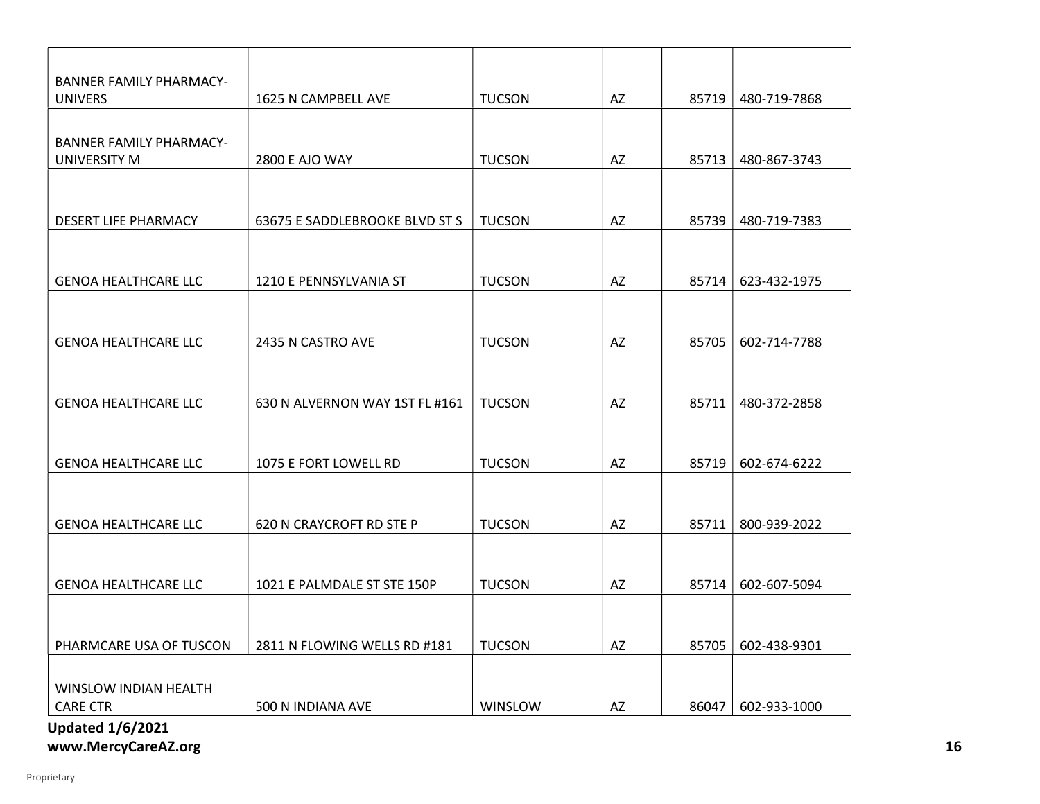| <b>BANNER FAMILY PHARMACY-</b> |                                |               |    |       |              |
|--------------------------------|--------------------------------|---------------|----|-------|--------------|
| <b>UNIVERS</b>                 | 1625 N CAMPBELL AVE            | <b>TUCSON</b> | AZ | 85719 | 480-719-7868 |
| <b>BANNER FAMILY PHARMACY-</b> |                                |               |    |       |              |
| UNIVERSITY M                   | <b>2800 E AJO WAY</b>          | <b>TUCSON</b> | AZ | 85713 | 480-867-3743 |
|                                |                                |               |    |       |              |
|                                |                                |               |    |       |              |
| <b>DESERT LIFE PHARMACY</b>    | 63675 E SADDLEBROOKE BLVD ST S | <b>TUCSON</b> | AZ | 85739 | 480-719-7383 |
|                                |                                |               |    |       |              |
| <b>GENOA HEALTHCARE LLC</b>    | 1210 E PENNSYLVANIA ST         | <b>TUCSON</b> | AZ | 85714 | 623-432-1975 |
|                                |                                |               |    |       |              |
|                                |                                |               |    |       |              |
| <b>GENOA HEALTHCARE LLC</b>    | 2435 N CASTRO AVE              | <b>TUCSON</b> | AZ | 85705 | 602-714-7788 |
|                                |                                |               |    |       |              |
| <b>GENOA HEALTHCARE LLC</b>    | 630 N ALVERNON WAY 1ST FL #161 | <b>TUCSON</b> | AZ | 85711 | 480-372-2858 |
|                                |                                |               |    |       |              |
|                                |                                |               |    |       |              |
| <b>GENOA HEALTHCARE LLC</b>    | 1075 E FORT LOWELL RD          | <b>TUCSON</b> | AZ | 85719 | 602-674-6222 |
|                                |                                |               |    |       |              |
| <b>GENOA HEALTHCARE LLC</b>    | 620 N CRAYCROFT RD STE P       | <b>TUCSON</b> | AZ | 85711 | 800-939-2022 |
|                                |                                |               |    |       |              |
|                                |                                |               |    |       |              |
| <b>GENOA HEALTHCARE LLC</b>    | 1021 E PALMDALE ST STE 150P    | <b>TUCSON</b> | AZ | 85714 | 602-607-5094 |
|                                |                                |               |    |       |              |
|                                |                                |               |    |       |              |
| PHARMCARE USA OF TUSCON        | 2811 N FLOWING WELLS RD #181   | <b>TUCSON</b> | AZ | 85705 | 602-438-9301 |
| WINSLOW INDIAN HEALTH          |                                |               |    |       |              |
| <b>CARE CTR</b>                | 500 N INDIANA AVE              | WINSLOW       | AZ | 86047 | 602-933-1000 |
| IIndated 1/6/2021              |                                |               |    |       |              |